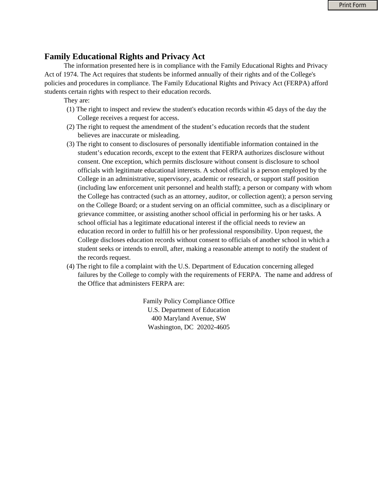## **Family Educational Rights and Privacy Act**

The information presented here is in compliance with the Family Educational Rights and Privacy Act of 1974. The Act requires that students be informed annually of their rights and of the College's policies and procedures in compliance. The Family Educational Rights and Privacy Act (FERPA) afford students certain rights with respect to their education records.

## They are:

- (1) The right to inspect and review the student's education records within 45 days of the day the College receives a request for access.
- (2) The right to request the amendment of the student's education records that the student believes are inaccurate or misleading.
- (3) The right to consent to disclosures of personally identifiable information contained in the student's education records, except to the extent that FERPA authorizes disclosure without consent. One exception, which permits disclosure without consent is disclosure to school officials with legitimate educational interests. A school official is a person employed by the College in an administrative, supervisory, academic or research, or support staff position (including law enforcement unit personnel and health staff); a person or company with whom the College has contracted (such as an attorney, auditor, or collection agent); a person serving on the College Board; or a student serving on an official committee, such as a disciplinary or grievance committee, or assisting another school official in performing his or her tasks. A school official has a legitimate educational interest if the official needs to review an education record in order to fulfill his or her professional responsibility. Upon request, the College discloses education records without consent to officials of another school in which a student seeks or intends to enroll, after, making a reasonable attempt to notify the student of the records request.
- (4) The right to file a complaint with the U.S. Department of Education concerning alleged failures by the College to comply with the requirements of FERPA. The name and address of the Office that administers FERPA are:

Family Policy Compliance Office U.S. Department of Education 400 Maryland Avenue, SW Washington, DC 20202-4605